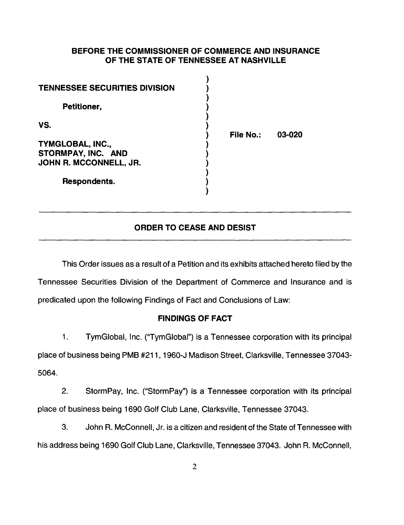### **BEFORE THE COMMISSIONER OF COMMERCE AND INSURANCE OF THE STATE OF TENNESSEE AT NASHVILLE**

| <b>TENNESSEE SECURITIES DIVISION</b> |           |        |
|--------------------------------------|-----------|--------|
| Petitioner,                          |           |        |
| VS.                                  | File No.: | 03-020 |
| TYMGLOBAL, INC.,                     |           |        |
| STORMPAY, INC. AND                   |           |        |
| JOHN R. MCCONNELL, JR.               |           |        |
| Respondents.                         |           |        |

### **ORDER TO CEASE AND DESIST**

This Order issues as a result of a Petition and its exhibits attached hereto filed by the Tennessee Securities Division of the Department of Commerce and Insurance and is predicated upon the following Findings of Fact and Conclusions of Law:

#### **FINDINGS OF FACT**

1. TymGiobal, Inc. ("TymGiobal") is a Tennessee corporation with its principal place of business being PMB #211, 1960-J Madison Street, Clarksville, Tennessee 37043- 5064.

2. StormPay, Inc. ("StormPay") is a Tennessee corporation with its principal place of business being 1690 Golf Club Lane, Clarksville, Tennessee 37043.

3. John R. McConnell, Jr. is a citizen and resident of the State of Tennessee with his address being 1690 Golf Club Lane, Clarksville, Tennessee 37043. John R. McConnell,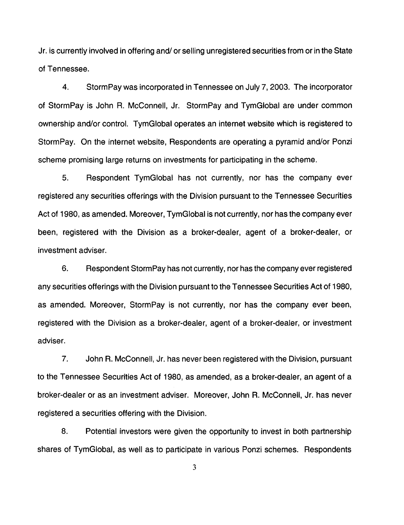Jr. is currently involved in offering and/ or selling unregistered securities from or in the State of Tennessee.

4. Storm Pay was incorporated in Tennessee on July 7, 2003. The incorporator of StormPay is John R. McConnell, Jr. StormPay and TymGiobal are under common ownership and/or control. TymGiobal operates an internet website which is registered to StormPay. On the internet website, Respondents are operating a pyramid and/or Ponzi scheme promising large returns on investments for participating in the scheme.

5. Respondent TymGiobal has not currently, nor has the company ever registered any securities offerings with the Division pursuant to the Tennessee Securities Act of 1980, as amended. Moreover, TymGiobal is not currently, nor has the company ever been, registered with the Division as a broker-dealer, agent of a broker-dealer, or investment adviser.

6. Respondent Storm Pay has not currently, nor has the company ever registered any securities offerings with the Division pursuant to the Tennessee Securities Act of 1980, as amended. Moreover, StormPay is not currently, nor has the company ever been, registered with the Division as a broker-dealer, agent of a broker-dealer, or investment adviser.

7. John R. McConnell, Jr. has never been registered with the Division, pursuant to the Tennessee Securities Act of 1980, as amended, as a broker-dealer, an agent of a broker-dealer or as an investment adviser. Moreover, John R. McConnell, Jr. has never registered a securities offering with the Division.

8. Potential investors were given the opportunity to invest in both partnership shares of TymGiobal, as well as to participate in various Ponzi schemes. Respondents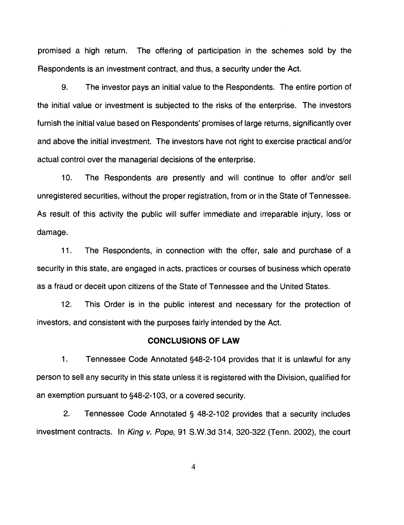promised a high return. The offering of participation in the schemes sold by the Respondents is an investment contract, and thus, a security under the Act.

9. The investor pays an initial value to the Respondents. The entire portion of the initial value or investment is subjected to the risks of the enterprise. The investors furnish the initial value based on Respondents' promises of large returns, significantly over and above the initial investment. The investors have not right to exercise practical and/or actual control over the managerial decisions of the enterprise.

10. The Respondents are presently and will continue to offer and/or sell unregistered securities, without the proper registration, from or in the State of Tennessee. As result of this activity the public will suffer immediate and irreparable injury, loss or damage.

11. The Respondents, in connection with the offer, sale and purchase of a security in this state, are engaged in acts, practices or courses of business which operate as a fraud or deceit upon citizens of the State of Tennessee and the United States.

12. This Order is in the public interest and necessary for the protection of investors, and consistent with the purposes fairly intended by the Act.

### **CONCLUSIONS OF LAW**

1. Tennessee Code Annotated §48-2-1 04 provides that it is unlawful for any person to sell any security in this state unless it is registered with the Division, qualified for an exemption pursuant to §48-2-103, or a covered security.

2. Tennessee Code Annotated § 48-2-102 provides that a security includes investment contracts. In King v. Pope, 91 S.W.3d 314, 320-322 (Tenn. 2002), the court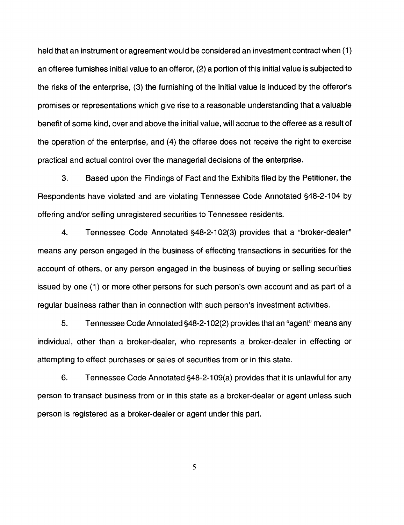held that an instrument or agreement would be considered an investment contract when (1) an offeree furnishes initial value to an offeror, (2) a portion of this initial value is subjected to the risks of the enterprise, (3) the furnishing of the initial value is induced by the offeror's promises or representations which give rise to a reasonable understanding that a valuable benefit of some kind, over and above the initial value, will accrue to the offeree as a result of the operation of the enterprise, and (4) the offeree does not receive the right to exercise practical and actual control over the managerial decisions of the enterprise.

3. Based upon the Findings of Fact and the Exhibits filed by the Petitioner, the Respondents have violated and are violating Tennessee Code Annotated §48-2-104 by offering and/or selling unregistered securities to Tennessee residents.

4. Tennessee Code Annotated §48-2-102(3) provides that a "broker-dealer" means any person engaged in the business of effecting transactions in securities for the account of others, or any person engaged in the business of buying or selling securities issued by one (1) or more other persons for such person's own account and as part of a regular business rather than in connection with such person's investment activities.

5. Tennessee Code Annotated §48-2-1 02(2) provides that an "agent" means any individual, other than a broker-dealer, who represents a broker-dealer in effecting or attempting to effect purchases or sales of securities from or in this state.

6. Tennessee Code Annotated §48-2-109(a) provides that it is unlawful for any person to transact business from or in this state as a broker-dealer or agent unless such person is registered as a broker-dealer or agent under this part.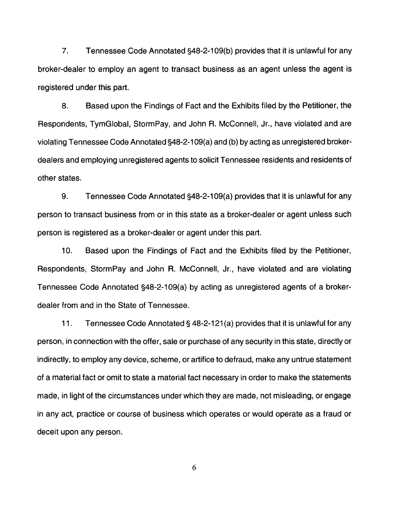7. Tennessee Code Annotated §48-2-1 09(b) provides that it is unlawful for any broker-dealer to employ an agent to transact business as an agent unless the agent is registered under this part.

8. Based upon the Findings of Fact and the Exhibits filed by the Petitioner, the Respondents, TymGiobal, StormPay, and John R. McConnell, Jr., have violated and are violating Tennessee Code Annotated §48-2-1 09(a) and (b) by acting as unregistered brokerdealers and employing unregistered agents to solicit Tennessee residents and residents of other states.

9. Tennessee Code Annotated §48-2-109(a) provides that it is unlawful for any person to transact business from or in this state as a broker-dealer or agent unless such person is registered as a broker-dealer or agent under this part.

10. Based upon the Findings of Fact and the Exhibits filed by the Petitioner, Respondents, StormPay and John R. McConnell, Jr., have violated and are violating Tennessee Code Annotated §48-2-109(a) by acting as unregistered agents of a brokerdealer from and in the State of Tennessee.

11. Tennessee Code Annotated§ 48-2-121 (a) provides that it is unlawful for any person, in connection with the offer, sale or purchase of any security in this state, directly or indirectly, to employ any device, scheme, or artifice to defraud, make any untrue statement of a material fact or omit to state a material fact necessary in order to make the statements made, in light of the circumstances under which they are made, not misleading, or engage in any act, practice or course of business which operates or would operate as a fraud or deceit upon any person.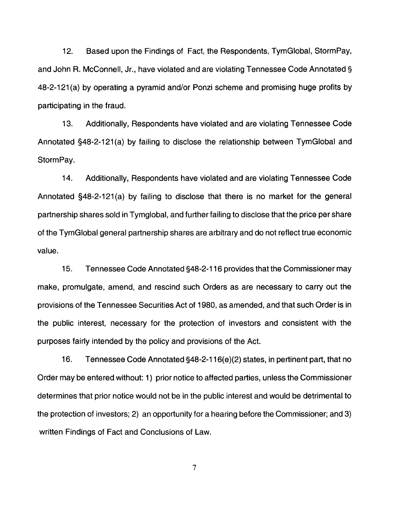12. Based upon the Findings of Fact, the Respondents, TymGiobal, StormPay, and John R. McConnell, Jr., have violated and are violating Tennessee Code Annotated§ 48-2-121 (a) by operating a pyramid and/or Ponzi scheme and promising huge profits by participating in the fraud.

13. Additionally, Respondents have violated and are violating Tennessee Code Annotated §48-2-121(a) by failing to disclose the relationship between TymGiobal and StormPay.

14. Additionally, Respondents have violated and are violating Tennessee Code Annotated §48-2-121(a) by failing to disclose that there is no market for the general partnership shares sold in Tymglobal, and further failing to disclose that the price per share of the TymGiobal general partnership shares are arbitrary and do not reflect true economic value.

15. Tennessee Code Annotated §48-2-116 provides that the Commissioner may make, promulgate, amend, and rescind such Orders as are necessary to carry out the provisions of the Tennessee Securities Act of 1980, as amended, and that such Order is in the public interest, necessary for the protection of investors and consistent with the purposes fairly intended by the policy and provisions of the Act.

16. Tennessee Code Annotated §48-2-116(e)(2) states, in pertinent part, that no Order may be entered without: 1) prior notice to affected parties, unless the Commissioner determines that prior notice would not be in the public interest and would be detrimental to the protection of investors; 2) an opportunity for a hearing before the Commissioner; and 3) written Findings of Fact and Conclusions of Law.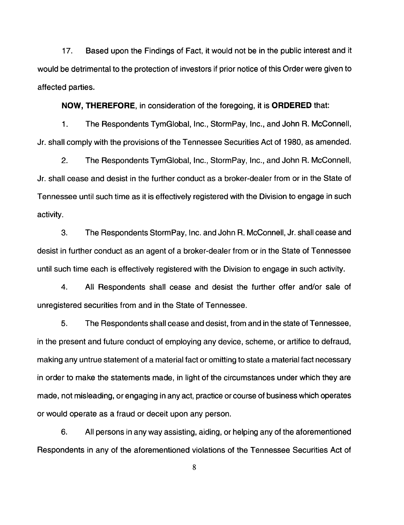17. Based upon the Findings of Fact, it would not be in the public interest and it would be detrimental to the protection of investors if prior notice of this Order were given to affected parties.

**NOW, THEREFORE,** in consideration of the foregoing, it is **ORDERED** that:

1. The Respondents TymGiobal, Inc., StormPay, Inc., and John R. McConnell, Jr. shall comply with the provisions of the Tennessee Securities Act of 1980, as amended.

2. The Respondents TymGiobal, Inc., StormPay, Inc., and John R. McConnell, Jr. shall cease and desist in the further conduct as a broker-dealer from or in the State of Tennessee until such time as it is effectively registered with the Division to engage in such activity.

3. The Respondents Storm Pay, Inc. and John R. McConnell, Jr. shall cease and desist in further conduct as an agent of a broker-dealer from or in the State of Tennessee until such time each is effectively registered with the Division to engage in such activity.

4. All Respondents shall cease and desist the further offer and/or sale of unregistered securities from and in the State of Tennessee.

5. The Respondents shall cease and desist, from and in the state of Tennessee, in the present and future conduct of employing any device, scheme, or artifice to defraud, making any untrue statement of a material fact or omitting to state a material fact necessary in order to make the statements made, in light of the circumstances under which they are made, not misleading, or engaging in any act, practice or course of business which operates or would operate as a fraud or deceit upon any person.

6. All persons in any way assisting, aiding, or helping any of the aforementioned Respondents in any of the aforementioned violations of the Tennessee Securities Act of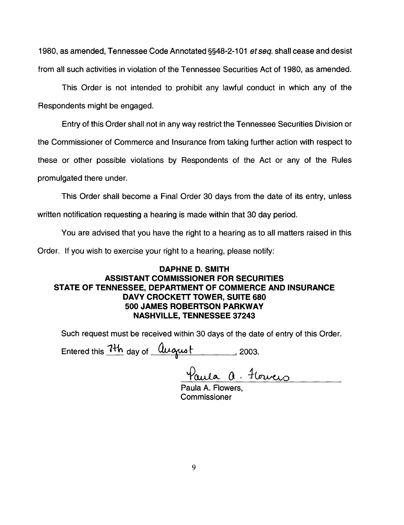1980, as amended, Tennessee Code Annotated §§48-2-1 01 *et seq.* shall cease and desist from all such activities in violation of the Tennessee Securities Act of 1980, as amended.

This Order is not intended to prohibit any lawful conduct in which any of the Respondents might be engaged.

Entry of this Order shall not in any way restrict the Tennessee Securities Division or the Commissioner of Commerce and Insurance from taking further action with respect to these or other possible violations by Respondents of the Act or any of the Rules promulgated there under.

This Order shall become a Final Order 30 days from the date of its entry, unless written notification requesting a hearing is made within that 30 day period.

You are advised that you have the right to a hearing as to all matters raised in this

Order. If you wish to exercise your right to a hearing, please notify:

# **DAPHNE D. SMITH ASSISTANT COMMISSIONER FOR SECURITIES STATE OF TENNESSEE, DEPARTMENT OF COMMERCE AND INSURANCE DAVY CROCKETT TOWER, SUITE 680 500 JAMES ROBERTSON PARKWAY NASHVILLE, TENNESSEE 37243**

Such request must be received within 30 days of the date of entry of this Order.

Entered this  $1+\,h$  day of  $a$   $a$   $a$   $b$   $b$   $c$   $c$   $c$   $d$ .

Paula a. Florveis

Commissioner